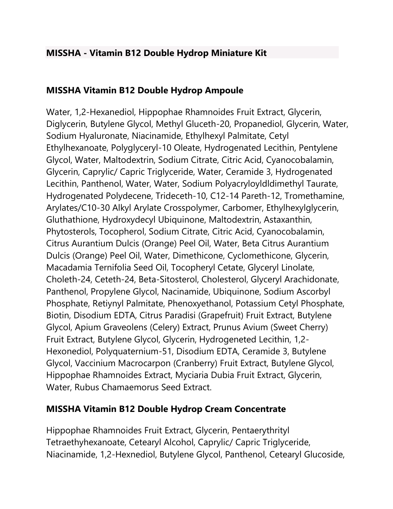## **MISSHA - Vitamin B12 Double Hydrop Miniature Kit**

## **MISSHA Vitamin B12 Double Hydrop Ampoule**

Water, 1,2-Hexanediol, Hippophae Rhamnoides Fruit Extract, Glycerin, Diglycerin, Butylene Glycol, Methyl Gluceth-20, Propanediol, Glycerin, Water, Sodium Hyaluronate, Niacinamide, Ethylhexyl Palmitate, Cetyl Ethylhexanoate, Polyglyceryl-10 Oleate, Hydrogenated Lecithin, Pentylene Glycol, Water, Maltodextrin, Sodium Citrate, Citric Acid, Cyanocobalamin, Glycerin, Caprylic/ Capric Triglyceride, Water, Ceramide 3, Hydrogenated Lecithin, Panthenol, Water, Water, Sodium Polyacryloyldldimethyl Taurate, Hydrogenated Polydecene, Trideceth-10, C12-14 Pareth-12, Tromethamine, Arylates/C10-30 Alkyl Arylate Crosspolymer, Carbomer, Ethylhexylglycerin, Gluthathione, Hydroxydecyl Ubiquinone, Maltodextrin, Astaxanthin, Phytosterols, Tocopherol, Sodium Citrate, Citric Acid, Cyanocobalamin, Citrus Aurantium Dulcis (Orange) Peel Oil, Water, Beta Citrus Aurantium Dulcis (Orange) Peel Oil, Water, Dimethicone, Cyclomethicone, Glycerin, Macadamia Ternifolia Seed Oil, Tocopheryl Cetate, Glyceryl Linolate, Choleth-24, Ceteth-24, Beta-Sitosterol, Cholesterol, Glyceryl Arachidonate, Panthenol, Propylene Glycol, Nacinamide, Ubiquinone, Sodium Ascorbyl Phosphate, Retiynyl Palmitate, Phenoxyethanol, Potassium Cetyl Phosphate, Biotin, Disodium EDTA, Citrus Paradisi (Grapefruit) Fruit Extract, Butylene Glycol, Apium Graveolens (Celery) Extract, Prunus Avium (Sweet Cherry) Fruit Extract, Butylene Glycol, Glycerin, Hydrogeneted Lecithin, 1,2- Hexonediol, Polyquaternium-51, Disodium EDTA, Ceramide 3, Butylene Glycol, Vaccinium Macrocarpon (Cranberry) Fruit Extract, Butylene Glycol, Hippophae Rhamnoides Extract, Myciaria Dubia Fruit Extract, Glycerin, Water, Rubus Chamaemorus Seed Extract.

## **MISSHA Vitamin B12 Double Hydrop Cream Concentrate**

Hippophae Rhamnoides Fruit Extract, Glycerin, Pentaerythrityl Tetraethyhexanoate, Cetearyl Alcohol, Caprylic/ Capric Triglyceride, Niacinamide, 1,2-Hexnediol, Butylene Glycol, Panthenol, Cetearyl Glucoside,